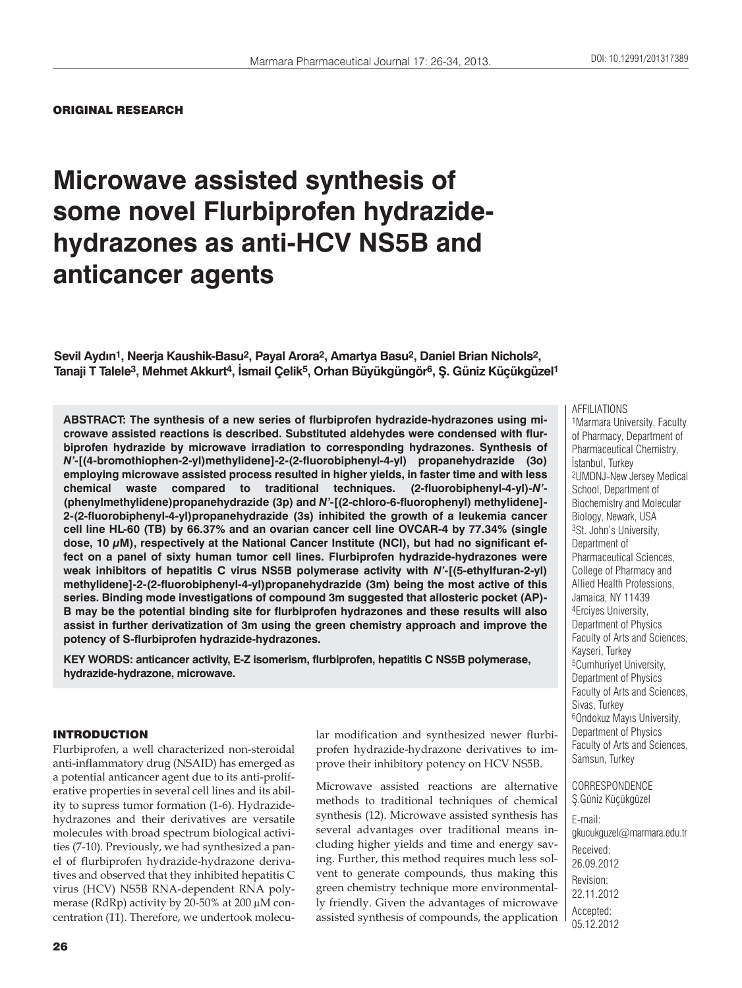#### ORIGINAL RESEARCH

# **Microwave assisted synthesis of some novel Flurbiprofen hydrazidehydrazones as anti-HCV NS5B and anticancer agents**

**Sevil Aydın1, Neerja Kaushik-Basu2, Payal Arora2, Amartya Basu2, Daniel Brian Nichols2, Tanaji T Talele3, Mehmet Akkurt4, İsmail Çelik5, Orhan Büyükgüngör6, Ş. Güniz Küçükgüzel1**

**ABSTRACT: The synthesis of a new series of flurbiprofen hydrazide-hydrazones using microwave assisted reactions is described. Substituted aldehydes were condensed with flurbiprofen hydrazide by microwave irradiation to corresponding hydrazones. Synthesis of**  *N'***-[(4-bromothiophen-2-yl)methylidene]-2-(2-fluorobiphenyl-4-yl) propanehydrazide (3o) employing microwave assisted process resulted in higher yields, in faster time and with less chemical waste compared to traditional techniques. (2-fluorobiphenyl-4-yl)-***N'***- (phenylmethylidene)propanehydrazide (3p) and** *N'***-[(2-chloro-6-fluorophenyl) methylidene]- 2-(2-fluorobiphenyl-4-yl)propanehydrazide (3s) inhibited the growth of a leukemia cancer cell line HL-60 (TB) by 66.37% and an ovarian cancer cell line OVCAR-4 by 77.34% (single dose, 10 μM), respectively at the National Cancer Institute (NCI), but had no significant effect on a panel of sixty human tumor cell lines. Flurbiprofen hydrazide-hydrazones were weak inhibitors of hepatitis C virus NS5B polymerase activity with** *N'***-[(5-ethylfuran-2-yl) methylidene]-2-(2-fluorobiphenyl-4-yl)propanehydrazide (3m) being the most active of this series. Binding mode investigations of compound 3m suggested that allosteric pocket (AP)- B may be the potential binding site for flurbiprofen hydrazones and these results will also assist in further derivatization of 3m using the green chemistry approach and improve the potency of S-flurbiprofen hydrazide-hydrazones.** 

**KEY WORDS: anticancer activity, E-Z isomerism, flurbiprofen, hepatitis C NS5B polymerase, hydrazide-hydrazone, microwave.**

#### INTRODUCTION

Flurbiprofen, a well characterized non-steroidal anti-inflammatory drug (NSAID) has emerged as a potential anticancer agent due to its anti-proliferative properties in several cell lines and its ability to supress tumor formation (1-6). Hydrazidehydrazones and their derivatives are versatile molecules with broad spectrum biological activities (7-10). Previously, we had synthesized a panel of flurbiprofen hydrazide-hydrazone derivatives and observed that they inhibited hepatitis C virus (HCV) NS5B RNA-dependent RNA polymerase (RdRp) activity by 20-50% at 200 μM concentration (11). Therefore, we undertook molecular modification and synthesized newer flurbiprofen hydrazide-hydrazone derivatives to improve their inhibitory potency on HCV NS5B.

Microwave assisted reactions are alternative methods to traditional techniques of chemical synthesis (12). Microwave assisted synthesis has several advantages over traditional means including higher yields and time and energy saving. Further, this method requires much less solvent to generate compounds, thus making this green chemistry technique more environmentally friendly. Given the advantages of microwave assisted synthesis of compounds, the application Pharmaceutical Chemistry, İstanbul, Turkey 2UMDNJ-New Jersey Medical School, Department of Biochemistry and Molecular Biology, Newark, USA 3St. John's University, Department of Pharmaceutical Sciences, College of Pharmacy and Allied Health Professions, Jamaica, NY 11439 4Erciyes University, Department of Physics Faculty of Arts and Sciences, Kayseri, Turkey 5Cumhuriyet University, Department of Physics Faculty of Arts and Sciences, Sivas, Turkey 6Ondokuz Mayıs University, Department of Physics Faculty of Arts and Sciences, Samsun, Turkey

AFFILIATIONS

1Marmara University, Faculty of Pharmacy, Department of

#### CORRESPONDENCE Ş.Güniz Küçükgüzel

E-mail: gkucukguzel@marmara.edu.tr Received: 26.09.2012 Revision: 22.11.2012 Accepted: 05.12.2012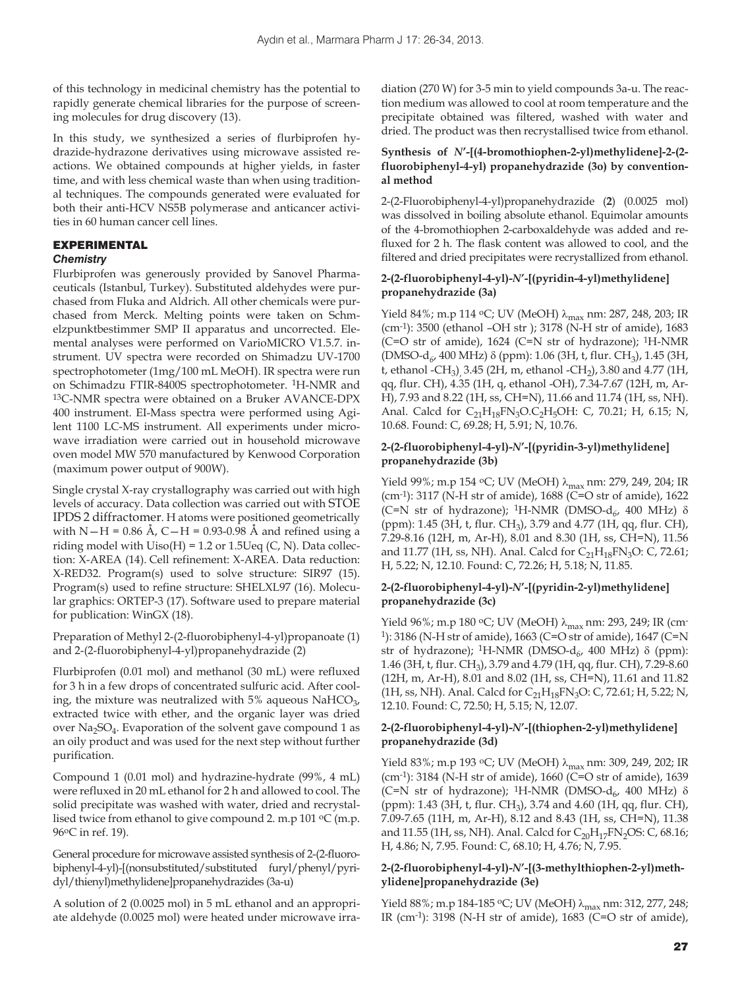of this technology in medicinal chemistry has the potential to rapidly generate chemical libraries for the purpose of screening molecules for drug discovery (13).

In this study, we synthesized a series of flurbiprofen hydrazide-hydrazone derivatives using microwave assisted reactions. We obtained compounds at higher yields, in faster time, and with less chemical waste than when using traditional techniques. The compounds generated were evaluated for both their anti-HCV NS5B polymerase and anticancer activities in 60 human cancer cell lines.

# EXPERIMENTAL

#### *Chemistry*

Flurbiprofen was generously provided by Sanovel Pharmaceuticals (Istanbul, Turkey). Substituted aldehydes were purchased from Fluka and Aldrich. All other chemicals were purchased from Merck. Melting points were taken on Schmelzpunktbestimmer SMP II apparatus and uncorrected. Elemental analyses were performed on VarioMICRO V1.5.7. instrument. UV spectra were recorded on Shimadzu UV-1700 spectrophotometer (1mg/100 mL MeOH). IR spectra were run on Schimadzu FTIR-8400S spectrophotometer. 1H-NMR and 13C-NMR spectra were obtained on a Bruker AVANCE-DPX 400 instrument. EI-Mass spectra were performed using Agilent 1100 LC-MS instrument. All experiments under microwave irradiation were carried out in household microwave oven model MW 570 manufactured by Kenwood Corporation (maximum power output of 900W).

Single crystal X-ray crystallography was carried out with high levels of accuracy. Data collection was carried out with STOE IPDS 2 diffractomer. H atoms were positioned geometrically with  $N-H = 0.86$  Å,  $C-H = 0.93-0.98$  Å and refined using a riding model with  $Uiso(H) = 1.2$  or 1.5Ueq (C, N). Data collection: X-AREA (14). Cell refinement: X-AREA. Data reduction: X-RED32. Program(s) used to solve structure: SIR97 (15). Program(s) used to refine structure: SHELXL97 (16). Molecular graphics: ORTEP-3 (17). Software used to prepare material for publication: WinGX (18).

Preparation of Methyl 2-(2-fluorobiphenyl-4-yl)propanoate (1) and 2-(2-fluorobiphenyl-4-yl)propanehydrazide (2)

Flurbiprofen (0.01 mol) and methanol (30 mL) were refluxed for 3 h in a few drops of concentrated sulfuric acid. After cooling, the mixture was neutralized with 5% aqueous NaHCO<sub>3</sub>, extracted twice with ether, and the organic layer was dried over Na<sub>2</sub>SO<sub>4</sub>. Evaporation of the solvent gave compound 1 as an oily product and was used for the next step without further purification.

Compound 1 (0.01 mol) and hydrazine-hydrate (99%, 4 mL) were refluxed in 20 mL ethanol for 2 h and allowed to cool. The solid precipitate was washed with water, dried and recrystallised twice from ethanol to give compound 2. m.p  $101 \,^{\circ}\mathrm{C}$  (m.p. 96oC in ref. 19).

General procedure for microwave assisted synthesis of 2-(2-fluorobiphenyl-4-yl)-[(nonsubstituted/substituted furyl/phenyl/pyridyl/thienyl)methylidene]propanehydrazides (3a-u)

A solution of 2 (0.0025 mol) in 5 mL ethanol and an appropriate aldehyde (0.0025 mol) were heated under microwave irradiation (270 W) for 3-5 min to yield compounds 3a-u. The reaction medium was allowed to cool at room temperature and the precipitate obtained was filtered, washed with water and dried. The product was then recrystallised twice from ethanol.

#### **Synthesis of** *N***'-[(4-bromothiophen-2-yl)methylidene]-2-(2 fluorobiphenyl-4-yl) propanehydrazide (3o) by conventional method**

2-(2-Fluorobiphenyl-4-yl)propanehydrazide (**2**) (0.0025 mol) was dissolved in boiling absolute ethanol. Equimolar amounts of the 4-bromothiophen 2-carboxaldehyde was added and refluxed for 2 h. The flask content was allowed to cool, and the filtered and dried precipitates were recrystallized from ethanol.

# **2-(2-fluorobiphenyl-4-yl)-***N***'-[(pyridin-4-yl)methylidene] propanehydrazide (3a)**

Yield 84%; m.p 114 °C; UV (MeOH) λ<sub>max</sub> nm: 287, 248, 203; IR (cm-1): 3500 (ethanol –OH str ); 3178 (N-H str of amide), 1683 (C=O str of amide), 1624 (C=N str of hydrazone); 1H-NMR (DMSO-d<sub>6</sub>, 400 MHz) δ (ppm): 1.06 (3H, t, flur. CH<sub>3</sub>), 1.45 (3H, t, ethanol -CH<sub>3</sub>)<sub>,</sub> 3.45 (2H, m, ethanol -CH<sub>2</sub>), 3.80 and 4.77 (1H, qq, flur. CH), 4.35 (1H, q, ethanol -OH), 7.34-7.67 (12H, m, Ar-H), 7.93 and 8.22 (1H, ss, CH=N), 11.66 and 11.74 (1H, ss, NH). Anal. Calcd for  $C_{21}H_{18}FN_3O.C_2H_5OH$ : C, 70.21; H, 6.15; N, 10.68. Found: C, 69.28; H, 5.91; N, 10.76.

#### **2-(2-fluorobiphenyl-4-yl)-***N***'-[(pyridin-3-yl)methylidene] propanehydrazide (3b)**

Yield 99%; m.p 154 °C; UV (MeOH)  $\lambda_{\text{max}}$  nm: 279, 249, 204; IR (cm-1): 3117 (N-H str of amide), 1688 (C=O str of amide), 1622 (C=N str of hydrazone); <sup>1</sup>H-NMR (DMSO-d<sub>6</sub>, 400 MHz)  $\delta$ (ppm): 1.45 (3H, t, flur. CH3), 3.79 and 4.77 (1H, qq, flur. CH), 7.29-8.16 (12H, m, Ar-H), 8.01 and 8.30 (1H, ss, CH=N), 11.56 and 11.77 (1H, ss, NH). Anal. Calcd for  $C_{21}H_{18}FN_3O$ : C, 72.61; H, 5.22; N, 12.10. Found: C, 72.26; H, 5.18; N, 11.85.

# **2-(2-fluorobiphenyl-4-yl)-***N***'-[(pyridin-2-yl)methylidene] propanehydrazide (3c)**

Yield 96%; m.p 180 °C; UV (MeOH) λ<sub>max</sub> nm: 293, 249; IR (cm-1): 3186 (N-H str of amide), 1663 (C=O str of amide), 1647 (C=N str of hydrazone); <sup>1</sup>H-NMR (DMSO-d<sub>6</sub>, 400 MHz) δ (ppm): 1.46 (3H, t, flur. CH<sub>3</sub>), 3.79 and 4.79 (1H, qq, flur. CH), 7.29-8.60 (12H, m, Ar-H), 8.01 and 8.02 (1H, ss, CH=N), 11.61 and 11.82 (1H, ss, NH). Anal. Calcd for  $C_{21}H_{18}FN_3O$ : C, 72.61; H, 5.22; N, 12.10. Found: C, 72.50; H, 5.15; N, 12.07.

# **2-(2-fluorobiphenyl-4-yl)-***N***'-[(thiophen-2-yl)methylidene] propanehydrazide (3d)**

Yield 83%; m.p 193 °C; UV (MeOH) λ<sub>max</sub> nm: 309, 249, 202; IR (cm-1): 3184 (N-H str of amide), 1660 (C=O str of amide), 1639 (C=N str of hydrazone); <sup>1</sup>H-NMR (DMSO-d<sub>6</sub>, 400 MHz)  $\delta$ (ppm): 1.43 (3H, t, flur. CH<sub>3</sub>), 3.74 and 4.60 (1H, qq, flur. CH), 7.09-7.65 (11H, m, Ar-H), 8.12 and 8.43 (1H, ss, CH=N), 11.38 and 11.55 (1H, ss, NH). Anal. Calcd for  $C_{20}H_{17}FN_2OS$ : C, 68.16; H, 4.86; N, 7.95. Found: C, 68.10; H, 4.76; N, 7.95.

# **2-(2-fluorobiphenyl-4-yl)-***N***'-[(3-methylthiophen-2-yl)methylidene]propanehydrazide (3e)**

Yield 88%; m.p 184-185 °C; UV (MeOH)  $\lambda_{\text{max}}$  nm: 312, 277, 248; IR (cm-1): 3198 (N-H str of amide), 1683 (C=O str of amide),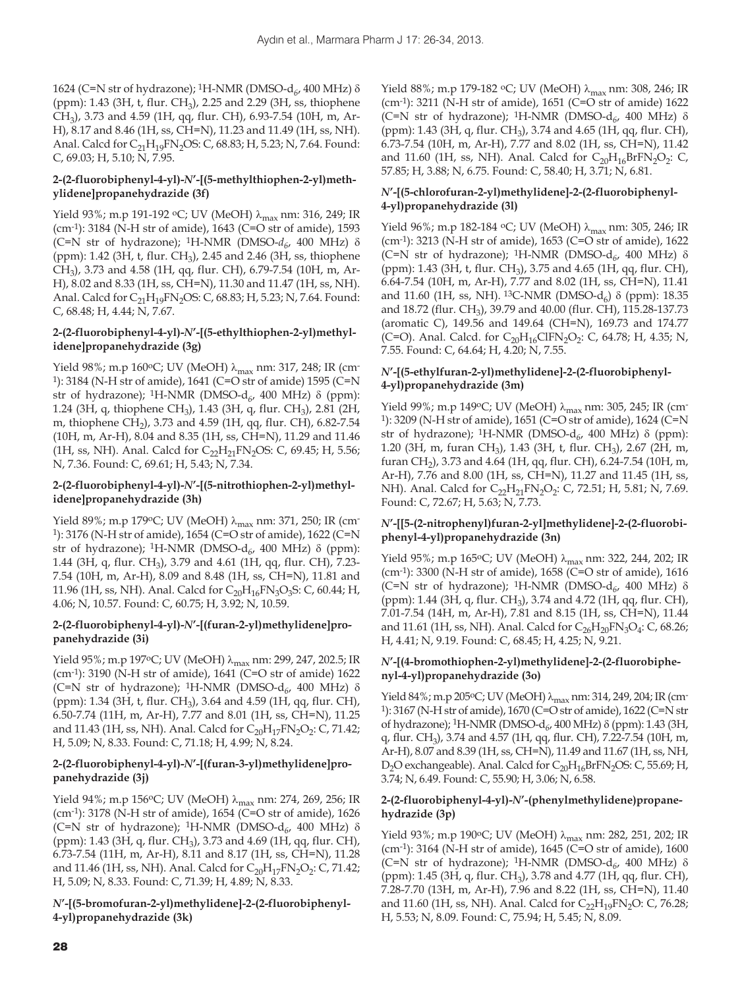1624 (C=N str of hydrazone); <sup>1</sup>H-NMR (DMSO-d<sub>6</sub>, 400 MHz) δ (ppm): 1.43 (3H, t, flur. CH3), 2.25 and 2.29 (3H, ss, thiophene CH3), 3.73 and 4.59 (1H, qq, flur. CH), 6.93-7.54 (10H, m, Ar-H), 8.17 and 8.46 (1H, ss, CH=N), 11.23 and 11.49 (1H, ss, NH). Anal. Calcd for  $C_{21}H_{19}FN_2OS$ : C, 68.83; H, 5.23; N, 7.64. Found: C, 69.03; H, 5.10; N, 7.95.

# **2-(2-fluorobiphenyl-4-yl)-***N***'-[(5-methylthiophen-2-yl)methylidene]propanehydrazide (3f)**

Yield 93%; m.p 191-192 °C; UV (MeOH)  $\lambda_{\text{max}}$  nm: 316, 249; IR (cm-1): 3184 (N-H str of amide), 1643 (C=O str of amide), 1593 (C=N str of hydrazone); <sup>1</sup>H-NMR (DMSO- $d_{6}$ , 400 MHz)  $\delta$ (ppm): 1.42 (3H, t, flur.  $CH_3$ ), 2.45 and 2.46 (3H, ss, thiophene CH3), 3.73 and 4.58 (1H, qq, flur. CH), 6.79-7.54 (10H, m, Ar-H), 8.02 and 8.33 (1H, ss, CH=N), 11.30 and 11.47 (1H, ss, NH). Anal. Calcd for  $C_{21}H_{19}FN_2OS$ : C, 68.83; H, 5.23; N, 7.64. Found: C, 68.48; H, 4.44; N, 7.67.

# **2-(2-fluorobiphenyl-4-yl)-***N***'-[(5-ethylthiophen-2-yl)methylidene]propanehydrazide (3g)**

Yield 98%; m.p 160°C; UV (MeOH)  $\lambda_{\text{max}}$  nm: 317, 248; IR (cm-1): 3184 (N-H str of amide), 1641 (C=O str of amide) 1595 (C=N str of hydrazone); <sup>1</sup>H-NMR (DMSO-d<sub>6</sub>, 400 MHz) δ (ppm): 1.24 (3H, q, thiophene CH3), 1.43 (3H, q, flur. CH3), 2.81 (2H, m, thiophene CH<sub>2</sub>), 3.73 and 4.59 (1H, qq, flur. CH), 6.82-7.54 (10H, m, Ar-H), 8.04 and 8.35 (1H, ss, CH=N), 11.29 and 11.46 (1H, ss, NH). Anal. Calcd for  $C_{22}H_{21}FN_{2}OS$ : C, 69.45; H, 5.56; N, 7.36. Found: C, 69.61; H, 5.43; N, 7.34.

#### **2-(2-fluorobiphenyl-4-yl)-***N***'-[(5-nitrothiophen-2-yl)methylidene]propanehydrazide (3h)**

Yield 89%; m.p 179°C; UV (MeOH) $\lambda_{\rm max}$ nm: 371, 250; IR (cm-1): 3176 (N-H str of amide), 1654 (C=O str of amide), 1622 (C=N str of hydrazone); <sup>1</sup>H-NMR (DMSO- $d_{6}$ , 400 MHz)  $\delta$  (ppm): 1.44 (3H, q, flur. CH<sub>3</sub>), 3.79 and 4.61 (1H, qq, flur. CH), 7.23-7.54 (10H, m, Ar-H), 8.09 and 8.48 (1H, ss, CH=N), 11.81 and 11.96 (1H, ss, NH). Anal. Calcd for  $C_{20}H_{16}FN_3O_3S$ : C, 60.44; H, 4.06; N, 10.57. Found: C, 60.75; H, 3.92; N, 10.59.

# **2-(2-fluorobiphenyl-4-yl)-***N***'-[(furan-2-yl)methylidene]propanehydrazide (3i)**

Yield 95%; m.p 197 °C; UV (MeOH) λ<sub>max</sub> nm: 299, 247, 202.5; IR (cm-1): 3190 (N-H str of amide), 1641 (C=O str of amide) 1622 (C=N str of hydrazone); <sup>1</sup>H-NMR (DMSO-d<sub>6</sub>, 400 MHz)  $\delta$ (ppm): 1.34 (3H, t, flur. CH3), 3.64 and 4.59 (1H, qq, flur. CH), 6.50-7.74 (11H, m, Ar-H), 7.77 and 8.01 (1H, ss, CH=N), 11.25 and 11.43 (1H, ss, NH). Anal. Calcd for  $C_{20}H_{17}FN_2O_2$ : C, 71.42; H, 5.09; N, 8.33. Found: C, 71.18; H, 4.99; N, 8.24.

# **2-(2-fluorobiphenyl-4-yl)-***N***'-[(furan-3-yl)methylidene]propanehydrazide (3j)**

Yield 94%; m.p 156°C; UV (MeOH) λ<sub>max</sub> nm: 274, 269, 256; IR (cm-1): 3178 (N-H str of amide), 1654 (C=O str of amide), 1626 (C=N str of hydrazone); <sup>1</sup>H-NMR (DMSO-d<sub>6</sub>, 400 MHz)  $\delta$ (ppm): 1.43 (3H, q, flur. CH3), 3.73 and 4.69 (1H, qq, flur. CH), 6.73-7.54 (11H, m, Ar-H), 8.11 and 8.17 (1H, ss, CH=N), 11.28 and 11.46 (1H, ss, NH). Anal. Calcd for  $C_{20}H_{17}FN_2O_2$ : C, 71.42; H, 5.09; N, 8.33. Found: C, 71.39; H, 4.89; N, 8.33.

# *N***'-[(5-bromofuran-2-yl)methylidene]-2-(2-fluorobiphenyl-4-yl)propanehydrazide (3k)**

Yield 88%; m.p 179-182 °C; UV (MeOH)  $\lambda_{\text{max}}$  nm: 308, 246; IR (cm-1): 3211 (N-H str of amide), 1651 (C=O str of amide) 1622 (C=N str of hydrazone); <sup>1</sup>H-NMR (DMSO-d<sub>6</sub>, 400 MHz)  $\delta$ (ppm): 1.43 (3H, q, flur. CH3), 3.74 and 4.65 (1H, qq, flur. CH), 6.73-7.54 (10H, m, Ar-H), 7.77 and 8.02 (1H, ss, CH=N), 11.42 and 11.60 (1H, ss, NH). Anal. Calcd for  $C_{20}H_{16}BrFN_2O_2$ : C, 57.85; H, 3.88; N, 6.75. Found: C, 58.40; H, 3.71; N, 6.81.

# *N***'-[(5-chlorofuran-2-yl)methylidene]-2-(2-fluorobiphenyl-4-yl)propanehydrazide (3l)**

Yield 96%; m.p 182-184 °C; UV (MeOH)  $\lambda_{\rm max}$ nm: 305, 246; IR (cm-1): 3213 (N-H str of amide), 1653 (C=O str of amide), 1622 (C=N str of hydrazone); <sup>1</sup>H-NMR (DMSO-d<sub>6</sub>, 400 MHz)  $\delta$ (ppm): 1.43 (3H, t, flur. CH<sub>3</sub>), 3.75 and 4.65 (1H, qq, flur. CH), 6.64-7.54 (10H, m, Ar-H), 7.77 and 8.02 (1H, ss, CH=N), 11.41 and 11.60 (1H, ss, NH). <sup>13</sup>C-NMR (DMSO-d<sub>6</sub>)  $\delta$  (ppm): 18.35 and 18.72 (flur. CH3), 39.79 and 40.00 (flur. CH), 115.28-137.73 (aromatic C), 149.56 and 149.64 (CH=N), 169.73 and 174.77 (C=O). Anal. Calcd. for  $C_{20}H_{16}CIFN_2O_2$ : C, 64.78; H, 4.35; N, 7.55. Found: C, 64.64; H, 4.20; N, 7.55.

#### *N***'-[(5-ethylfuran-2-yl)methylidene]-2-(2-fluorobiphenyl-4-yl)propanehydrazide (3m)**

Yield 99%; m.p 149 $\degree$ C; UV (MeOH)  $\lambda_{\text{max}}$  nm: 305, 245; IR (cm-1): 3209 (N-H str of amide), 1651 (C=O str of amide), 1624 (C=N str of hydrazone); <sup>1</sup>H-NMR (DMSO-d<sub>6</sub>, 400 MHz) δ (ppm): 1.20 (3H, m, furan CH<sub>3</sub>), 1.43 (3H, t, flur. CH<sub>3</sub>), 2.67 (2H, m, furan CH<sub>2</sub>), 3.73 and 4.64 (1H, qq, flur. CH), 6.24-7.54 (10H, m, Ar-H), 7.76 and 8.00 (1H, ss, CH=N), 11.27 and 11.45 (1H, ss, NH). Anal. Calcd for C<sub>22</sub>H<sub>21</sub>FN<sub>2</sub>O<sub>2</sub>: C, 72.51; H, 5.81; N, 7.69. Found: C, 72.67; H, 5.63; N, 7.73.

# *N***'-[[5-(2-nitrophenyl)furan-2-yl]methylidene]-2-(2-fluorobiphenyl-4-yl)propanehydrazide (3n)**

Yield 95%; m.p 165°C; UV (MeOH)  $\lambda_{\text{max}}$  nm: 322, 244, 202; IR (cm-1): 3300 (N-H str of amide), 1658 (C=O str of amide), 1616 (C=N str of hydrazone); <sup>1</sup>H-NMR (DMSO-d<sub>6</sub>, 400 MHz)  $\delta$ (ppm): 1.44 (3H, q, flur. CH<sub>3</sub>), 3.74 and 4.72 (1H, qq, flur. CH), 7.01-7.54 (14H, m, Ar-H), 7.81 and 8.15 (1H, ss, CH=N), 11.44 and 11.61 (1H, ss, NH). Anal. Calcd for  $C_{26}H_{20}FN_3O_4$ : C, 68.26; H, 4.41; N, 9.19. Found: C, 68.45; H, 4.25; N, 9.21.

# *N***'-[(4-bromothiophen-2-yl)methylidene]-2-(2-fluorobiphenyl-4-yl)propanehydrazide (3o)**

Yield 84%; m.p 205°C; UV (MeOH)  $\lambda_{\text{max}}$  nm: 314, 249, 204; IR (cm-1): 3167 (N-H str of amide), 1670 (C=O str of amide), 1622 (C=N str of hydrazone); <sup>1</sup>H-NMR (DMSO-d<sub>6</sub>, 400 MHz) δ (ppm): 1.43 (3H, q, flur. CH3), 3.74 and 4.57 (1H, qq, flur. CH), 7.22-7.54 (10H, m, Ar-H), 8.07 and 8.39 (1H, ss, CH=N), 11.49 and 11.67 (1H, ss, NH, D<sub>2</sub>O exchangeable). Anal. Calcd for  $C_{20}H_{16}BrFN_2OS$ : C, 55.69; H, 3.74; N, 6.49. Found: C, 55.90; H, 3.06; N, 6.58.

#### **2-(2-fluorobiphenyl-4-yl)-***N***'-(phenylmethylidene)propanehydrazide (3p)**

Yield 93%; m.p 190°C; UV (MeOH)  $\lambda_{\text{max}}$  nm: 282, 251, 202; IR (cm-1): 3164 (N-H str of amide), 1645 (C=O str of amide), 1600 (C=N str of hydrazone); <sup>1</sup>H-NMR (DMSO-d<sub>6</sub>, 400 MHz)  $\delta$ (ppm): 1.45 (3H, q, flur. CH<sub>3</sub>), 3.78 and 4.77 (1H, qq, flur. CH), 7.28-7.70 (13H, m, Ar-H), 7.96 and 8.22 (1H, ss, CH=N), 11.40 and 11.60 (1H, ss, NH). Anal. Calcd for  $C_{22}H_{19}FN_{2}O$ : C, 76.28; H, 5.53; N, 8.09. Found: C, 75.94; H, 5.45; N, 8.09.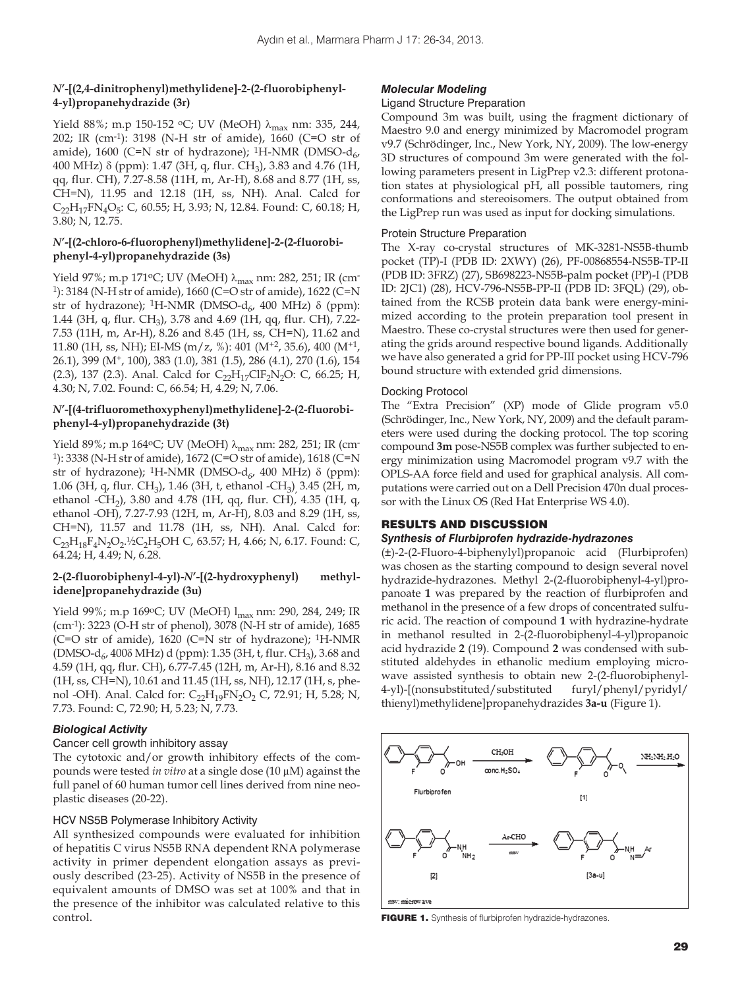#### *N***'-[(2,4-dinitrophenyl)methylidene]-2-(2-fluorobiphenyl-4-yl)propanehydrazide (3r)**

Yield 88%; m.p 150-152 °C; UV (MeOH) λ<sub>max</sub> nm: 335, 244, 202; IR (cm-1): 3198 (N-H str of amide), 1660 (C=O str of amide), 1600 (C=N str of hydrazone); <sup>1</sup>H-NMR (DMSO- $d_{6}$ , 400 MHz)  $\delta$  (ppm): 1.47 (3H, q, flur. CH<sub>3</sub>), 3.83 and 4.76 (1H, qq, flur. CH), 7.27-8.58 (11H, m, Ar-H), 8.68 and 8.77 (1H, ss, CH=N), 11.95 and 12.18 (1H, ss, NH). Anal. Calcd for  $C_{22}H_{17}FN_4O_5$ : C, 60.55; H, 3.93; N, 12.84. Found: C, 60.18; H, 3.80; N, 12.75.

#### *N***'-[(2-chloro-6-fluorophenyl)methylidene]-2-(2-fluorobiphenyl-4-yl)propanehydrazide (3s)**

Yield 97%; m.p 171°C; UV (MeOH) λ<sub>max</sub> nm: 282, 251; IR (cm-1): 3184 (N-H str of amide), 1660 (C=O str of amide), 1622 (C=N str of hydrazone); <sup>1</sup>H-NMR (DMSO-d<sub>6</sub>, 400 MHz)  $\delta$  (ppm): 1.44 (3H, q, flur. CH3), 3.78 and 4.69 (1H, qq, flur. CH), 7.22- 7.53 (11H, m, Ar-H), 8.26 and 8.45 (1H, ss, CH=N), 11.62 and 11.80 (1H, ss, NH); EI-MS (m/z, %): 401 (M+2, 35.6), 400 (M+1, 26.1), 399 (M+, 100), 383 (1.0), 381 (1.5), 286 (4.1), 270 (1.6), 154 (2.3), 137 (2.3). Anal. Calcd for  $C_{22}H_{17}ClF_2N_2O$ : C, 66.25; H, 4.30; N, 7.02. Found: C, 66.54; H, 4.29; N, 7.06.

#### *N***'-[(4-trifluoromethoxyphenyl)methylidene]-2-(2-fluorobiphenyl-4-yl)propanehydrazide (3t)**

Yield 89%; m.p 164 °C; UV (MeOH) λ<sub>max</sub> nm: 282, 251; IR (cm-1): 3338 (N-H str of amide), 1672 (C=O str of amide), 1618 (C=N str of hydrazone); <sup>1</sup>H-NMR (DMSO-d<sub>6</sub>, 400 MHz) δ (ppm): 1.06 (3H, q, flur. CH<sub>3</sub>), 1.46 (3H, t, ethanol -CH<sub>3</sub>) 3.45 (2H, m, ethanol -CH<sub>2</sub>), 3.80 and 4.78 (1H, qq, flur. CH), 4.35 (1H, q, ethanol -OH), 7.27-7.93 (12H, m, Ar-H), 8.03 and 8.29 (1H, ss, CH=N), 11.57 and 11.78 (1H, ss, NH). Anal. Calcd for:  $C_{23}H_{18}F_4N_2O_2.$ <sup>1</sup>/<sub>2</sub>C<sub>2</sub>H<sub>5</sub>OH C, 63.57; H, 4.66; N, 6.17. Found: C, 64.24; H, 4.49; N, 6.28.

#### **2-(2-fluorobiphenyl-4-yl)-***N***'-[(2-hydroxyphenyl) methylidene]propanehydrazide (3u)**

Yield 99%; m.p 169°C; UV (MeOH) l<sub>max</sub> nm: 290, 284, 249; IR (cm-1): 3223 (O-H str of phenol), 3078 (N-H str of amide), 1685 (C=O str of amide), 1620 (C=N str of hydrazone); 1H-NMR (DMSO-d<sub>6</sub>, 400 $\delta$  MHz) d (ppm): 1.35 (3H, t, flur. CH<sub>3</sub>), 3.68 and 4.59 (1H, qq, flur. CH), 6.77-7.45 (12H, m, Ar-H), 8.16 and 8.32 (1H, ss, CH=N), 10.61 and 11.45 (1H, ss, NH), 12.17 (1H, s, phenol -OH). Anal. Calcd for:  $C_{22}H_{19}FN_{2}O_{2}$  C, 72.91; H, 5.28; N, 7.73. Found: C, 72.90; H, 5.23; N, 7.73.

#### *Biological Activity*

#### Cancer cell growth inhibitory assay

The cytotoxic and/or growth inhibitory effects of the compounds were tested *in vitro* at a single dose (10 μM) against the full panel of 60 human tumor cell lines derived from nine neoplastic diseases (20-22).

#### HCV NS5B Polymerase Inhibitory Activity

All synthesized compounds were evaluated for inhibition of hepatitis C virus NS5B RNA dependent RNA polymerase activity in primer dependent elongation assays as previously described (23-25). Activity of NS5B in the presence of equivalent amounts of DMSO was set at 100% and that in the presence of the inhibitor was calculated relative to this control.

# *Molecular Modeling*

#### Ligand Structure Preparation

Compound 3m was built, using the fragment dictionary of Maestro 9.0 and energy minimized by Macromodel program v9.7 (Schrödinger, Inc., New York, NY, 2009). The low-energy 3D structures of compound 3m were generated with the following parameters present in LigPrep v2.3: different protonation states at physiological pH, all possible tautomers, ring conformations and stereoisomers. The output obtained from the LigPrep run was used as input for docking simulations.

#### Protein Structure Preparation

The X-ray co-crystal structures of MK-3281-NS5B-thumb pocket (TP)-I (PDB ID: 2XWY) (26), PF-00868554-NS5B-TP-II (PDB ID: 3FRZ) (27), SB698223-NS5B-palm pocket (PP)-I (PDB ID: 2JC1) (28), HCV-796-NS5B-PP-II (PDB ID: 3FQL) (29), obtained from the RCSB protein data bank were energy-minimized according to the protein preparation tool present in Maestro. These co-crystal structures were then used for generating the grids around respective bound ligands. Additionally we have also generated a grid for PP-III pocket using HCV-796 bound structure with extended grid dimensions.

#### Docking Protocol

The "Extra Precision" (XP) mode of Glide program v5.0 (Schrödinger, Inc., New York, NY, 2009) and the default parameters were used during the docking protocol. The top scoring compound **3m** pose-NS5B complex was further subjected to energy minimization using Macromodel program v9.7 with the OPLS-AA force field and used for graphical analysis. All computations were carried out on a Dell Precision 470n dual processor with the Linux OS (Red Hat Enterprise WS 4.0).

#### RESULTS AND DISCUSSION

#### *Synthesis of Flurbiprofen hydrazide-hydrazones*

(±)-2-(2-Fluoro-4-biphenylyl)propanoic acid (Flurbiprofen) was chosen as the starting compound to design several novel hydrazide-hydrazones. Methyl 2-(2-fluorobiphenyl-4-yl)propanoate **1** was prepared by the reaction of flurbiprofen and methanol in the presence of a few drops of concentrated sulfuric acid. The reaction of compound **1** with hydrazine-hydrate in methanol resulted in 2-(2-fluorobiphenyl-4-yl)propanoic acid hydrazide **2** (19). Compound **2** was condensed with substituted aldehydes in ethanolic medium employing microwave assisted synthesis to obtain new 2-(2-fluorobiphenyl-4-yl)-[(nonsubstituted/substituted furyl/phenyl/pyridyl/ thienyl)methylidene]propanehydrazides **3a-u** (Figure 1).



FIGURE 1. Synthesis of flurbiprofen hydrazide-hydrazones.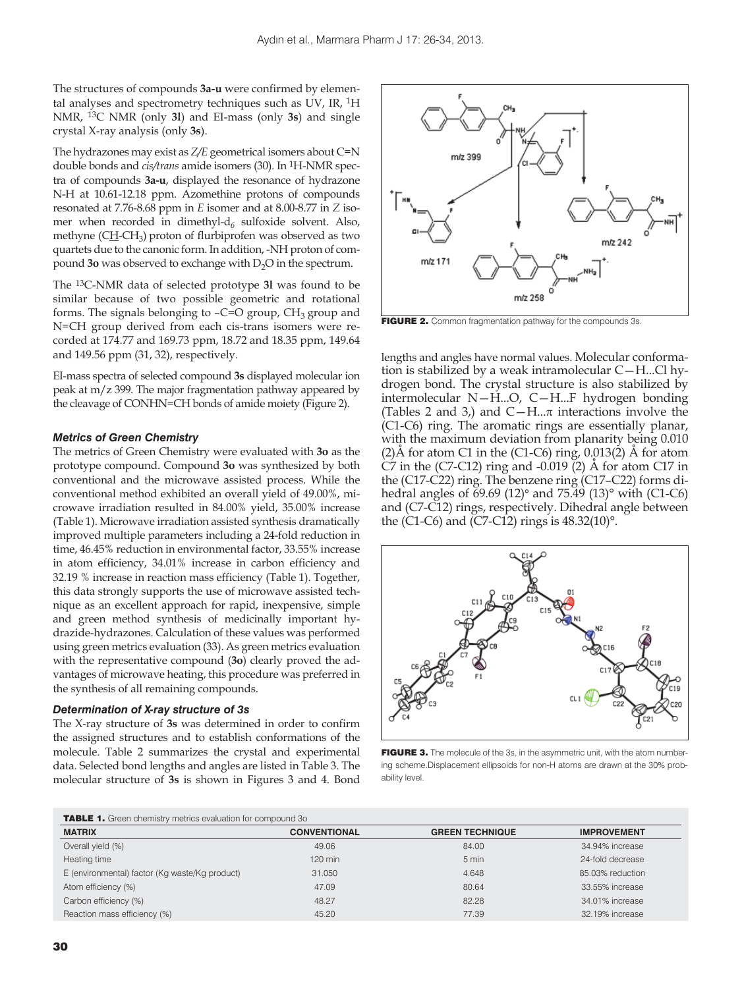The structures of compounds **3a-u** were confirmed by elemental analyses and spectrometry techniques such as UV, IR, 1H NMR, 13C NMR (only **3l**) and EI-mass (only **3s**) and single crystal X-ray analysis (only **3s**).

The hydrazones may exist as *Z/E* geometrical isomers about C=N double bonds and *cis/trans* amide isomers (30). In 1H-NMR spectra of compounds **3a-u**, displayed the resonance of hydrazone N-H at 10.61-12.18 ppm. Azomethine protons of compounds resonated at 7.76-8.68 ppm in *E* isomer and at 8.00-8.77 in *Z* isomer when recorded in dimethyl-d*6* sulfoxide solvent. Also, methyne (CH-CH<sub>3</sub>) proton of flurbiprofen was observed as two quartets due to the canonic form. In addition, -NH proton of compound **3o** was observed to exchange with D<sub>2</sub>O in the spectrum.

The 13C-NMR data of selected prototype **3l** was found to be similar because of two possible geometric and rotational forms. The signals belonging to  $-C=O$  group,  $CH<sub>3</sub>$  group and N=CH group derived from each cis-trans isomers were recorded at 174.77 and 169.73 ppm, 18.72 and 18.35 ppm, 149.64 and 149.56 ppm (31, 32), respectively.

EI-mass spectra of selected compound **3s** displayed molecular ion peak at m/z 399. The major fragmentation pathway appeared by the cleavage of CONHN=CH bonds of amide moiety (Figure 2).

#### *Metrics of Green Chemistry*

The metrics of Green Chemistry were evaluated with **3o** as the prototype compound. Compound **3o** was synthesized by both conventional and the microwave assisted process. While the conventional method exhibited an overall yield of 49.00%, microwave irradiation resulted in 84.00% yield, 35.00% increase (Table 1). Microwave irradiation assisted synthesis dramatically improved multiple parameters including a 24-fold reduction in time, 46.45% reduction in environmental factor, 33.55% increase in atom efficiency, 34.01% increase in carbon efficiency and 32.19 % increase in reaction mass efficiency (Table 1). Together, this data strongly supports the use of microwave assisted technique as an excellent approach for rapid, inexpensive, simple and green method synthesis of medicinally important hydrazide-hydrazones. Calculation of these values was performed using green metrics evaluation (33). As green metrics evaluation with the representative compound (**3o**) clearly proved the advantages of microwave heating, this procedure was preferred in the synthesis of all remaining compounds.

#### *Determination of X-ray structure of 3s*

The X-ray structure of **3s** was determined in order to confirm the assigned structures and to establish conformations of the molecule. Table 2 summarizes the crystal and experimental data. Selected bond lengths and angles are listed in Table 3. The molecular structure of **3s** is shown in Figures 3 and 4. Bond



FIGURE 2. Common fragmentation pathway for the compounds 3s.

lengths and angles have normal values. Molecular conformation is stabilized by a weak intramolecular C—H...Cl hydrogen bond. The crystal structure is also stabilized by intermolecular N—H...O, C—H...F hydrogen bonding (Tables 2 and 3,) and  $C-H...\pi$  interactions involve the (C1-C6) ring. The aromatic rings are essentially planar, with the maximum deviation from planarity being 0.010  $(2)$ Å for atom C1 in the (C1-C6) ring, 0.013(2) Å for atom C7 in the  $(C7-C12)$  ring and  $-0.019$  (2)  $\AA$  for atom C17 in the (C17-C22) ring. The benzene ring (C17–C22) forms dihedral angles of 69.69 (12)° and 75.49 (13)° with (C1-C6) and (C7-C12) rings, respectively. Dihedral angle between the (C1-C6) and (C7-C12) rings is 48.32(10)°.



FIGURE 3. The molecule of the 3s, in the asymmetric unit, with the atom numbering scheme.Displacement ellipsoids for non-H atoms are drawn at the 30% probability level.

| <b>TABLE 1.</b> Green chemistry metrics evaluation for compound 30 |  |  |
|--------------------------------------------------------------------|--|--|
|--------------------------------------------------------------------|--|--|

| <b>INDLE 1.</b> CITED FIGHTER PRODUCED FOR COMPONIC 30 |                     |                        |                    |
|--------------------------------------------------------|---------------------|------------------------|--------------------|
| <b>MATRIX</b>                                          | <b>CONVENTIONAL</b> | <b>GREEN TECHNIQUE</b> | <b>IMPROVEMENT</b> |
| Overall yield (%)                                      | 49.06               | 84.00                  | 34.94% increase    |
| Heating time                                           | $120$ min           | 5 min                  | 24-fold decrease   |
| E (environmental) factor (Kg waste/Kg product)         | 31.050              | 4.648                  | 85.03% reduction   |
| Atom efficiency (%)                                    | 47.09               | 80.64                  | 33.55% increase    |
| Carbon efficiency (%)                                  | 48.27               | 82.28                  | 34.01% increase    |
| Reaction mass efficiency (%)                           | 45.20               | 77.39                  | 32.19% increase    |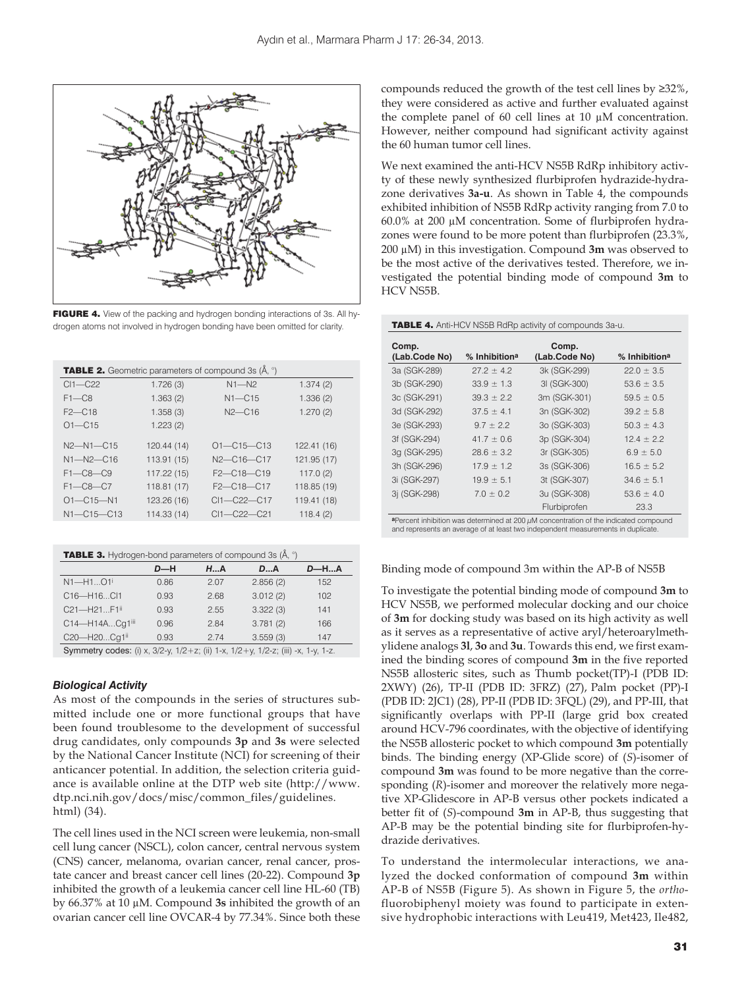

FIGURE 4. View of the packing and hydrogen bonding interactions of 3s. All hydrogen atoms not involved in hydrogen bonding have been omitted for clarity.

| <b>TABLE 2.</b> Geometric parameters of compound 3s (Å, °) |             |                                                  |             |
|------------------------------------------------------------|-------------|--------------------------------------------------|-------------|
| $Cl1 - C22$                                                | 1.726(3)    | $N1 - N2$                                        | 1.374(2)    |
| $F1 - C8$                                                  | 1.363(2)    | $N1$ – $C15$                                     | 1.336(2)    |
| $F2$ –C18                                                  | 1.358(3)    | $N2$ –C <sub>16</sub>                            | 1.270(2)    |
| $O1 - C15$                                                 | 1.223(2)    |                                                  |             |
| $N2 - N1 - C15$                                            | 120.44 (14) | $O1 - C15 - C13$                                 | 122.41 (16) |
| $N1 - N2 - C16$                                            | 113.91 (15) | $N2 - C16 - C17$                                 | 121.95 (17) |
| $F1 - C8 - C9$                                             | 117.22 (15) | $F2 - C18 - C19$                                 | 117.0(2)    |
| $F1 - C8 - C7$                                             | 118.81 (17) | F <sub>2</sub> -C <sub>18</sub> -C <sub>17</sub> | 118.85 (19) |
| $O1 - C15 - N1$                                            | 123.26 (16) | $Cl1 - C22 - C17$                                | 119.41 (18) |
| $N1 - C15 - C13$                                           | 114.33 (14) | $Cl1 - C22 - C21$                                | 118.4(2)    |

| <b>TABLE 3.</b> Hydrogen-bond parameters of compound 3s (Å, °)                            |       |               |          |             |
|-------------------------------------------------------------------------------------------|-------|---------------|----------|-------------|
|                                                                                           | $D-H$ | $H_{\cdots}A$ | DA       | <b>D-HA</b> |
| $N1 - H1O1$                                                                               | 0.86  | 2.07          | 2.856(2) | 152         |
| C16-H16Cl1                                                                                | 0.93  | 2.68          | 3.012(2) | 102         |
| C21-H21F1ii                                                                               | 0.93  | 2.55          | 3.322(3) | 141         |
| C14-H14ACq1iii                                                                            | 0.96  | 2.84          | 3.781(2) | 166         |
| C20-H20Cq1ii                                                                              | 0.93  | 2.74          | 3.559(3) | 147         |
| Symmetry codes: (i) x $3/2-y$ $1/2+z$ ; (ii) $1-x$ $1/2+y$ $1/2-z$ ; (iii) -x $1-y$ $1-z$ |       |               |          |             |

Symmetry codes: (i) x, 3/2-y, 1/2+z; (ii) 1-x, 1/2+y, 1/2-z; (iii) -x, 1-y, 1-z.

#### *Biological Activity*

As most of the compounds in the series of structures submitted include one or more functional groups that have been found troublesome to the development of successful drug candidates, only compounds **3p** and **3s** were selected by the National Cancer Institute (NCI) for screening of their anticancer potential. In addition, the selection criteria guidance is available online at the DTP web site (http://www. dtp.nci.nih.gov/docs/misc/common\_files/guidelines. html) (34).

The cell lines used in the NCI screen were leukemia, non-small cell lung cancer (NSCL), colon cancer, central nervous system (CNS) cancer, melanoma, ovarian cancer, renal cancer, prostate cancer and breast cancer cell lines (20-22). Compound **3p** inhibited the growth of a leukemia cancer cell line HL-60 (TB) by 66.37% at 10 μM. Compound **3s** inhibited the growth of an ovarian cancer cell line OVCAR-4 by 77.34%. Since both these compounds reduced the growth of the test cell lines by ≥32%, they were considered as active and further evaluated against the complete panel of 60 cell lines at 10 μM concentration. However, neither compound had significant activity against the 60 human tumor cell lines.

We next examined the anti-HCV NS5B RdRp inhibitory activty of these newly synthesized flurbiprofen hydrazide-hydrazone derivatives **3a-u**. As shown in Table 4, the compounds exhibited inhibition of NS5B RdRp activity ranging from 7.0 to 60.0% at 200 μM concentration. Some of flurbiprofen hydrazones were found to be more potent than flurbiprofen (23.3%, 200 μM) in this investigation. Compound **3m** was observed to be the most active of the derivatives tested. Therefore, we investigated the potential binding mode of compound **3m** to HCV NS5B.

| Comp.<br>(Lab.Code No) | % Inhibitiona  | Comp.<br>(Lab.Code No) | % Inhibitiona  |
|------------------------|----------------|------------------------|----------------|
|                        |                |                        |                |
| 3a (SGK-289)           | $27.2 \pm 4.2$ | 3k (SGK-299)           | $22.0 \pm 3.5$ |
| 3b (SGK-290)           | $33.9 \pm 1.3$ | 3I (SGK-300)           | $53.6 \pm 3.5$ |
| 3c (SGK-291)           | $39.3 \pm 2.2$ | 3m (SGK-301)           | $59.5 \pm 0.5$ |
| 3d (SGK-292)           | $37.5 \pm 4.1$ | 3n (SGK-302)           | $39.2 \pm 5.8$ |
| 3e (SGK-293)           | $9.7 \pm 2.2$  | 3o (SGK-303)           | $50.3 \pm 4.3$ |
| 3f (SGK-294)           | $41.7 \pm 0.6$ | 3p (SGK-304)           | $12.4 \pm 2.2$ |
| 3g (SGK-295)           | $28.6 \pm 3.2$ | 3r (SGK-305)           | $6.9 \pm 5.0$  |
| 3h (SGK-296)           | $17.9 \pm 1.2$ | 3s (SGK-306)           | $16.5 \pm 5.2$ |
| 3i (SGK-297)           | $19.9 \pm 5.1$ | 3t (SGK-307)           | $34.6 \pm 5.1$ |
| 3j (SGK-298)           | $7.0 \pm 0.2$  | 3u (SGK-308)           | $53.6 \pm 4.0$ |
|                        |                | Flurbiprofen           | 23.3           |

**a**Percent inhibition was determined at 200 μM concentration of the indicated compound and represents an average of at least two independent measurements in duplicate

#### Binding mode of compound 3m within the AP-B of NS5B

To investigate the potential binding mode of compound **3m** to HCV NS5B, we performed molecular docking and our choice of **3m** for docking study was based on its high activity as well as it serves as a representative of active aryl/heteroarylmethylidene analogs **3l**, **3o** and **3u**. Towards this end, we first examined the binding scores of compound **3m** in the five reported NS5B allosteric sites, such as Thumb pocket(TP)-I (PDB ID: 2XWY) (26), TP-II (PDB ID: 3FRZ) (27), Palm pocket (PP)-I (PDB ID: 2JC1) (28), PP-II (PDB ID: 3FQL) (29), and PP-III, that significantly overlaps with PP-II (large grid box created around HCV-796 coordinates, with the objective of identifying the NS5B allosteric pocket to which compound **3m** potentially binds. The binding energy (XP-Glide score) of (*S*)-isomer of compound **3m** was found to be more negative than the corresponding (*R*)-isomer and moreover the relatively more negative XP-Glidescore in AP-B versus other pockets indicated a better fit of (*S*)-compound **3m** in AP-B, thus suggesting that AP-B may be the potential binding site for flurbiprofen-hydrazide derivatives.

To understand the intermolecular interactions, we analyzed the docked conformation of compound **3m** within AP-B of NS5B (Figure 5). As shown in Figure 5, the *ortho*fluorobiphenyl moiety was found to participate in extensive hydrophobic interactions with Leu419, Met423, Ile482,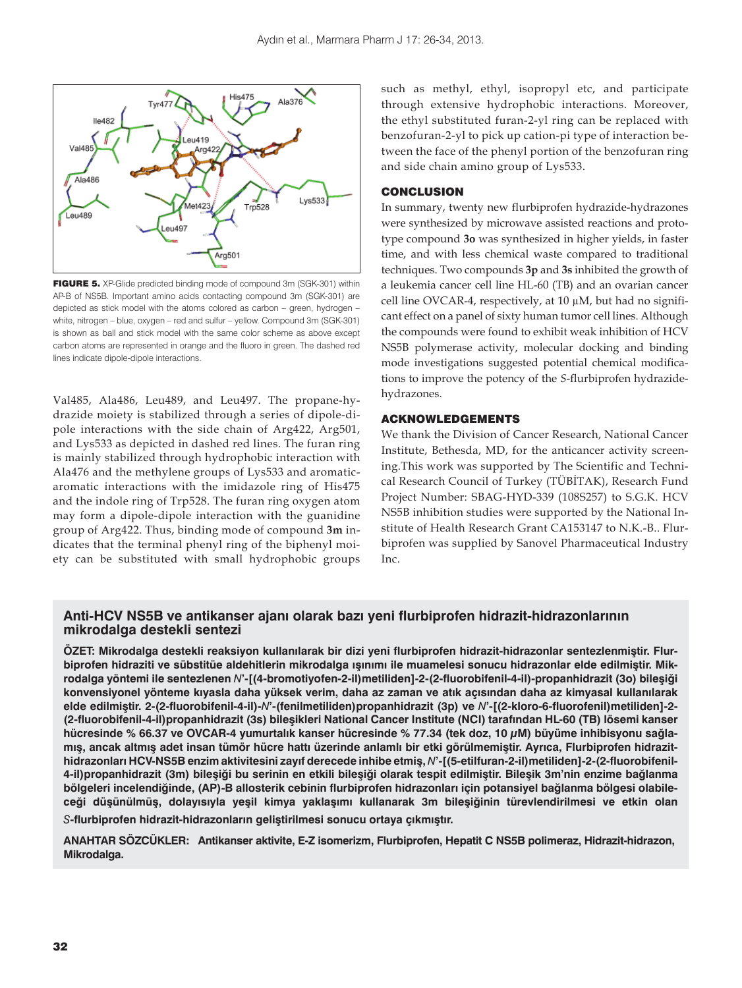

FIGURE 5. XP-Glide predicted binding mode of compound 3m (SGK-301) within AP-B of NS5B. Important amino acids contacting compound 3m (SGK-301) are depicted as stick model with the atoms colored as carbon – green, hydrogen – white, nitrogen – blue, oxygen – red and sulfur – yellow. Compound 3m (SGK-301) is shown as ball and stick model with the same color scheme as above except carbon atoms are represented in orange and the fluoro in green. The dashed red lines indicate dipole-dipole interactions.

Val485, Ala486, Leu489, and Leu497. The propane-hydrazide moiety is stabilized through a series of dipole-dipole interactions with the side chain of Arg422, Arg501, and Lys533 as depicted in dashed red lines. The furan ring is mainly stabilized through hydrophobic interaction with Ala476 and the methylene groups of Lys533 and aromaticaromatic interactions with the imidazole ring of His475 and the indole ring of Trp528. The furan ring oxygen atom may form a dipole-dipole interaction with the guanidine group of Arg422. Thus, binding mode of compound **3m** indicates that the terminal phenyl ring of the biphenyl moiety can be substituted with small hydrophobic groups such as methyl, ethyl, isopropyl etc, and participate through extensive hydrophobic interactions. Moreover, the ethyl substituted furan-2-yl ring can be replaced with benzofuran-2-yl to pick up cation-pi type of interaction between the face of the phenyl portion of the benzofuran ring and side chain amino group of Lys533.

#### **CONCLUSION**

In summary, twenty new flurbiprofen hydrazide-hydrazones were synthesized by microwave assisted reactions and prototype compound **3o** was synthesized in higher yields, in faster time, and with less chemical waste compared to traditional techniques. Two compounds **3p** and **3s** inhibited the growth of a leukemia cancer cell line HL-60 (TB) and an ovarian cancer cell line OVCAR-4, respectively, at 10 μM, but had no significant effect on a panel of sixty human tumor cell lines. Although the compounds were found to exhibit weak inhibition of HCV NS5B polymerase activity, molecular docking and binding mode investigations suggested potential chemical modifications to improve the potency of the *S*-flurbiprofen hydrazidehydrazones.

# ACKNOWLEDGEMENTS

We thank the Division of Cancer Research, National Cancer Institute, Bethesda, MD, for the anticancer activity screening.This work was supported by The Scientific and Technical Research Council of Turkey (TÜBİTAK), Research Fund Project Number: SBAG-HYD-339 (108S257) to S.G.K. HCV NS5B inhibition studies were supported by the National Institute of Health Research Grant CA153147 to N.K.-B.. Flurbiprofen was supplied by Sanovel Pharmaceutical Industry Inc.

# **Anti-HCV NS5B ve antikanser ajanı olarak bazı yeni flurbiprofen hidrazit-hidrazonlarının mikrodalga destekli sentezi**

**ÖZET: Mikrodalga destekli reaksiyon kullanılarak bir dizi yeni flurbiprofen hidrazit-hidrazonlar sentezlenmiştir. Flurbiprofen hidraziti ve sübstitüe aldehitlerin mikrodalga ışınımı ile muamelesi sonucu hidrazonlar elde edilmiştir. Mikrodalga yöntemi ile sentezlenen** *N***'-[(4-bromotiyofen-2-il)metiliden]-2-(2-fluorobifenil-4-il)-propanhidrazit (3o) bileşiği konvensiyonel yönteme kıyasla daha yüksek verim, daha az zaman ve atık açısından daha az kimyasal kullanılarak elde edilmiştir. 2-(2-fluorobifenil-4-il)-***N***'-(fenilmetiliden)propanhidrazit (3p) ve** *N***'-[(2-kloro-6-fluorofenil)metiliden]-2- (2-fluorobifenil-4-il)propanhidrazit (3s) bileşikleri National Cancer Institute (NCI) tarafından HL-60 (TB) lösemi kanser hücresinde % 66.37 ve OVCAR-4 yumurtalık kanser hücresinde % 77.34 (tek doz, 10 μM) büyüme inhibisyonu sağlamış, ancak altmış adet insan tümör hücre hattı üzerinde anlamlı bir etki görülmemiştir. Ayrıca, Flurbiprofen hidrazithidrazonları HCV-NS5B enzim aktivitesini zayıf derecede inhibe etmiş,** *N***'-[(5-etilfuran-2-il)metiliden]-2-(2-fluorobifenil-**4-il)propanhidrazit (3m) bileşiği bu serinin en etkili bileşiği olarak tespit edilmiştir. Bileşik 3m'nin enzime bağlanma **bölgeleri incelendiğinde, (AP)-B allosterik cebinin flurbiprofen hidrazonları için potansiyel bağlanma bölgesi olabileceği düşünülmüş, dolayısıyla yeşil kimya yaklaşımı kullanarak 3m bileşiğinin türevlendirilmesi ve etkin olan** 

*S***-flurbiprofen hidrazit-hidrazonların geliştirilmesi sonucu ortaya çıkmıştır.**

**ANAHTAR SÖZCÜKLER: Antikanser aktivite, E-Z isomerizm, Flurbiprofen, Hepatit C NS5B polimeraz, Hidrazit-hidrazon, Mikrodalga.**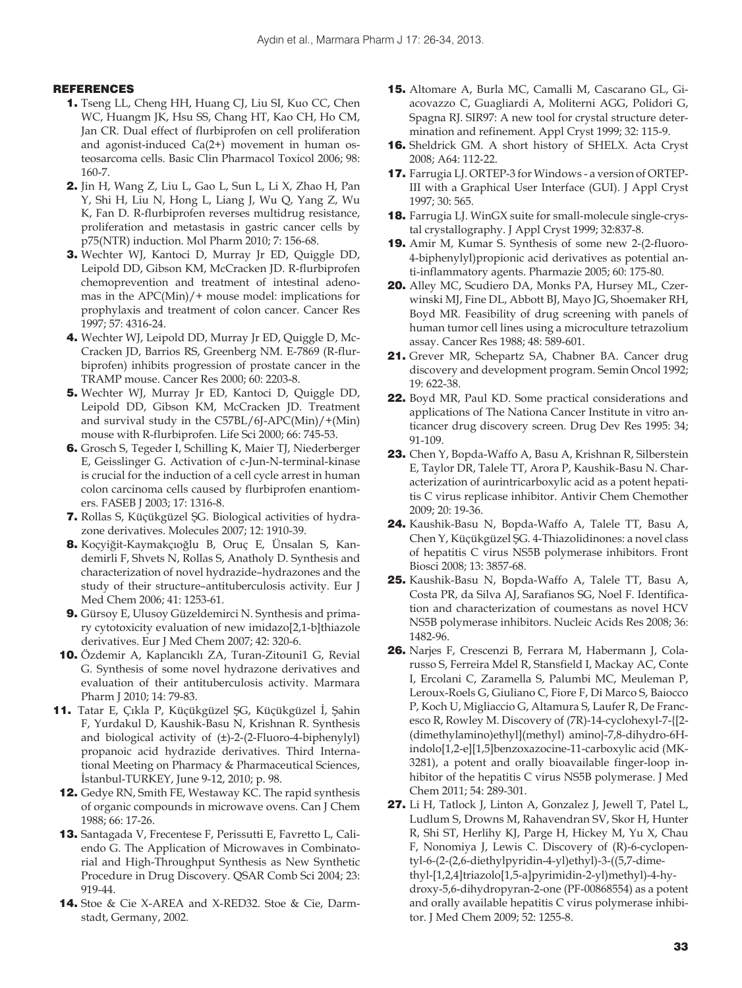#### REFERENCES

- 1. Tseng LL, Cheng HH, Huang CJ, Liu SI, Kuo CC, Chen WC, Huangm JK, Hsu SS, Chang HT, Kao CH, Ho CM, Jan CR. Dual effect of flurbiprofen on cell proliferation and agonist-induced Ca(2+) movement in human osteosarcoma cells. Basic Clin Pharmacol Toxicol 2006; 98: 160-7.
- 2. Jin H, Wang Z, Liu L, Gao L, Sun L, Li X, Zhao H, Pan Y, Shi H, Liu N, Hong L, Liang J, Wu Q, Yang Z, Wu K, Fan D. R-flurbiprofen reverses multidrug resistance, proliferation and metastasis in gastric cancer cells by p75(NTR) induction. Mol Pharm 2010; 7: 156-68.
- 3. Wechter WJ, Kantoci D, Murray Jr ED, Quiggle DD, Leipold DD, Gibson KM, McCracken JD. R-flurbiprofen chemo prevention and treatment of intestinal adenomas in the APC(Min)/+ mouse model: implications for prophylaxis and treatment of colon cancer. Cancer Res 1997; 57: 4316-24.
- 4. Wechter WJ, Leipold DD, Murray Jr ED, Quiggle D, Mc-Cracken JD, Barrios RS, Greenberg NM. E-7869 (R-flurbiprofen) inhibits progression of prostate cancer in the TRAMP mouse. Cancer Res 2000; 60: 2203-8.
- 5. Wechter WJ, Murray Jr ED, Kantoci D, Quiggle DD, Leipold DD, Gibson KM, McCracken JD. Treatment and survival study in the C57BL/6J-APC(Min)/+(Min) mouse with R-flurbiprofen. Life Sci 2000; 66: 745-53.
- 6. Grosch S, Tegeder I, Schilling K, Maier TJ, Niederberger E, Geisslinger G. Activation of c-Jun-N-terminal-kinase is crucial for the induction of a cell cycle arrest in human colon carcinoma cells caused by flurbiprofen enantiomers. FASEB J 2003; 17: 1316-8.
- 7. Rollas S, Küçükgüzel ŞG. Biological activities of hydrazone derivatives. Molecules 2007; 12: 1910-39.
- 8. Koçyiğit-Kaymakçıoğlu B, Oruç E, Ünsalan S, Kandemirli F, Shvets N, Rollas S, Anatholy D. Synthesis and characterization of novel hydrazide–hydrazones and the study of their structure–antituberculosis activity. Eur J Med Chem 2006; 41: 1253-61.
- 9. Gürsoy E, Ulusoy Güzeldemirci N. Synthesis and primary cytotoxicity evaluation of new imidazo[2,1-b]thiazole derivatives. Eur J Med Chem 2007; 42: 320-6.
- 10. Özdemir A, Kaplancıklı ZA, Turan-Zitouni1 G, Revial G. Synthesis of some novel hydrazone derivatives and evaluation of their antituberculosis activity. Marmara Pharm J 2010; 14: 79-83.
- 11. Tatar E, Çıkla P, Küçükgüzel ŞG, Küçükgüzel İ, Şahin F, Yurdakul D, Kaushik-Basu N, Krishnan R. Synthesis and biological activity of (±)-2-(2-Fluoro-4-biphenylyl) propanoic acid hydrazide derivatives. Third International Meeting on Pharmacy & Pharmaceutical Sciences, İstanbul-TURKEY, June 9-12, 2010; p. 98.
- 12. Gedye RN, Smith FE, Westaway KC. The rapid synthesis of organic compounds in microwave ovens. Can J Chem 1988; 66: 17-26.
- 13. Santagada V, Frecentese F, Perissutti E, Favretto L, Caliendo G. The Application of Microwaves in Combinatorial and High-Throughput Synthesis as New Synthetic Procedure in Drug Discovery. QSAR Comb Sci 2004; 23: 919-44.
- 14. Stoe & Cie X-AREA and X-RED32. Stoe & Cie, Darmstadt, Germany, 2002.
- 15. Altomare A, Burla MC, Camalli M, Cascarano GL, Giacovazzo C, Guagliardi A, Moliterni AGG, Polidori G, Spagna RJ. SIR97: A new tool for crystal structure determination and refinement. Appl Cryst 1999; 32: 115-9.
- 16. Sheldrick GM. A short history of SHELX. Acta Cryst 2008; A64: 112-22.
- 17. Farrugia LJ. ORTEP-3 for Windows a version of ORTEP-III with a Graphical User Interface (GUI). J Appl Cryst 1997; 30: 565.
- 18. Farrugia LJ. WinGX suite for small-molecule single-crystal crystallography. J Appl Cryst 1999; 32:837-8.
- 19. Amir M, Kumar S. Synthesis of some new 2-(2-fluoro-4-biphenylyl)propionic acid derivatives as potential anti-inflammatory agents. Pharmazie 2005; 60: 175-80.
- 20. Alley MC, Scudiero DA, Monks PA, Hursey ML, Czerwinski MJ, Fine DL, Abbott BJ, Mayo JG, Shoemaker RH, Boyd MR. Feasibility of drug screening with panels of human tumor cell lines using a microculture tetrazolium assay. Cancer Res 1988; 48: 589-601.
- 21. Grever MR, Schepartz SA, Chabner BA. Cancer drug discovery and development program. Semin Oncol 1992; 19: 622-38.
- 22. Boyd MR, Paul KD. Some practical considerations and applications of The Nationa Cancer Institute in vitro anticancer drug discovery screen. Drug Dev Res 1995: 34; 91-109.
- 23. Chen Y, Bopda-Waffo A, Basu A, Krishnan R, Silberstein E, Taylor DR, Talele TT, Arora P, Kaushik-Basu N. Characterization of aurintricarboxylic acid as a potent hepatitis C virus replicase inhibitor. Antivir Chem Chemother 2009; 20: 19-36.
- 24. Kaushik-Basu N, Bopda-Waffo A, Talele TT, Basu A, Chen Y, Küçükgüzel ŞG. 4-Thiazolidinones: a novel class of hepatitis C virus NS5B polymerase inhibitors. Front Biosci 2008; 13: 3857-68.
- 25. Kaushik-Basu N, Bopda-Waffo A, Talele TT, Basu A, Costa PR, da Silva AJ, Sarafianos SG, Noel F. Identification and characterization of coumestans as novel HCV NS5B polymerase inhibitors. Nucleic Acids Res 2008; 36: 1482-96.
- 26. Narjes F, Crescenzi B, Ferrara M, Habermann J, Colarusso S, Ferreira Mdel R, Stansfield I, Mackay AC, Conte I, Ercolani C, Zaramella S, Palumbi MC, Meuleman P, Leroux-Roels G, Giuliano C, Fiore F, Di Marco S, Baiocco P, Koch U, Migliaccio G, Altamura S, Laufer R, De Francesco R, Rowley M. Discovery of (7R)-14-cyclohexyl-7-{[2- (dimethylamino)ethyl](methyl) amino}-7,8-dihydro-6Hindolo[1,2-e][1,5]benzoxazocine-11-carboxylic acid (MK-3281), a potent and orally bioavailable finger-loop inhibitor of the hepatitis C virus NS5B polymerase. J Med Chem 2011; 54: 289-301.
- 27. Li H, Tatlock J, Linton A, Gonzalez J, Jewell T, Patel L, Ludlum S, Drowns M, Rahavendran SV, Skor H, Hunter R, Shi ST, Herlihy KJ, Parge H, Hickey M, Yu X, Chau F, Nonomiya J, Lewis C. Discovery of (R)-6-cyclopentyl-6-(2-(2,6-diethylpyridin-4-yl)ethyl)-3-((5,7-dimethyl-[1,2,4]triazolo[1,5-a]pyrimidin-2-yl)methyl)-4-hydroxy-5,6-dihydropyran-2-one (PF-00868554) as a potent and orally available hepatitis C virus polymerase inhibitor. J Med Chem 2009; 52: 1255-8.